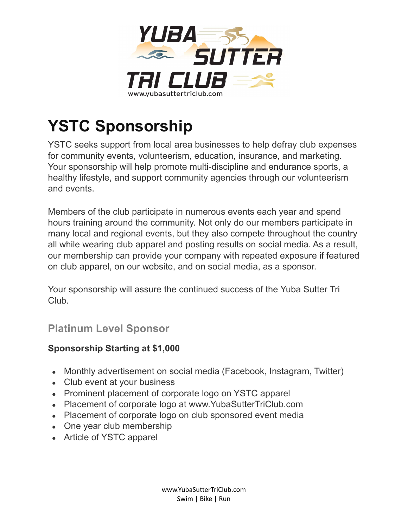

# **YSTC Sponsorship**

YSTC seeks support from local area businesses to help defray club expenses for community events, volunteerism, education, insurance, and marketing. Your sponsorship will help promote multi-discipline and endurance sports, a healthy lifestyle, and support community agencies through our volunteerism and events.

Members of the club participate in numerous events each year and spend hours training around the community. Not only do our members participate in many local and regional events, but they also compete throughout the country all while wearing club apparel and posting results on social media. As a result, our membership can provide your company with repeated exposure if featured on club apparel, on our website, and on social media, as a sponsor.

Your sponsorship will assure the continued success of the Yuba Sutter Tri Club.

## **Platinum Level Sponsor**

#### **Sponsorship Starting at \$1,000**

- Monthly advertisement on social media (Facebook, Instagram, Twitter)
- Club event at your business
- Prominent placement of corporate logo on YSTC apparel
- Placement of corporate logo at www.YubaSutterTriClub.com
- Placement of corporate logo on club sponsored event media
- One year club membership
- Article of YSTC apparel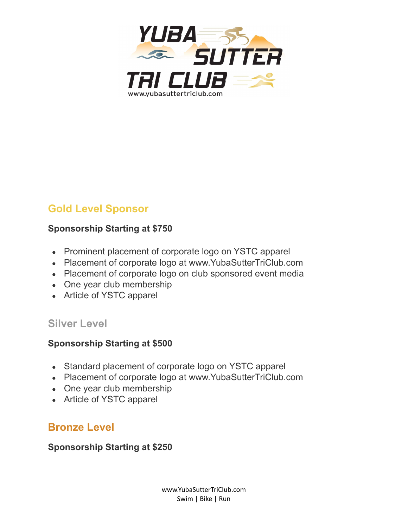

# **Gold Level Sponsor**

#### **Sponsorship Starting at \$750**

- Prominent placement of corporate logo on YSTC apparel
- Placement of corporate logo at www.YubaSutterTriClub.com
- Placement of corporate logo on club sponsored event media
- One year club membership
- Article of YSTC apparel

#### **Silver Level**

#### **Sponsorship Starting at \$500**

- Standard placement of corporate logo on YSTC apparel
- Placement of corporate logo at www.YubaSutterTriClub.com
- One year club membership
- Article of YSTC apparel

## **Bronze Level**

**Sponsorship Starting at \$250**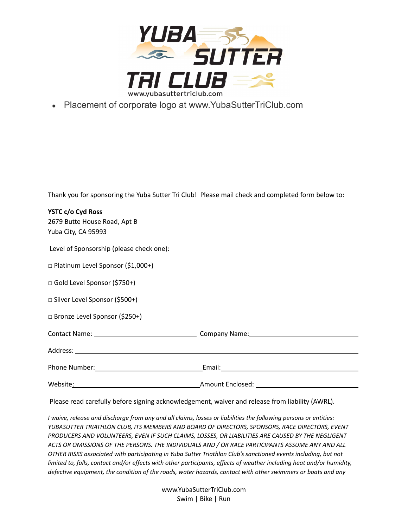

• Placement of corporate logo at www.YubaSutterTriClub.com

Thank you for sponsoring the Yuba Sutter Tri Club! Please mail check and completed form below to:

| YSTC c/o Cyd Ross<br>2679 Butte House Road, Apt B<br>Yuba City, CA 95993 |  |
|--------------------------------------------------------------------------|--|
| Level of Sponsorship (please check one):                                 |  |
| $\Box$ Platinum Level Sponsor (\$1,000+)                                 |  |
| □ Gold Level Sponsor (\$750+)                                            |  |
| □ Silver Level Sponsor (\$500+)                                          |  |
| □ Bronze Level Sponsor (\$250+)                                          |  |
|                                                                          |  |
|                                                                          |  |
|                                                                          |  |
| Website:                                                                 |  |

Please read carefully before signing acknowledgement, waiver and release from liability (AWRL).

I waive, release and discharge from any and all claims, losses or liabilities the following persons or entities: *YUBASUTTER TRIATHLON CLUB, ITS MEMBERS AND BOARD OF DIRECTORS, SPONSORS, RACE DIRECTORS, EVENT PRODUCERS AND VOLUNTEERS, EVEN IF SUCH CLAIMS, LOSSES, OR LIABILITIES ARE CAUSED BY THE NEGLIGENT ACTS OR OMISSIONS OF THE PERSONS. THE INDIVIDUALS AND / OR RACE PARTICIPANTS ASSUME ANY AND ALL OTHER RISKS associated with participating in Yuba Sutter Triathlon Club's sanctioned events including, but not* limited to, falls, contact and/or effects with other participants, effects of weather including heat and/or humidity, defective equipment, the condition of the roads, water hazards, contact with other swimmers or boats and any